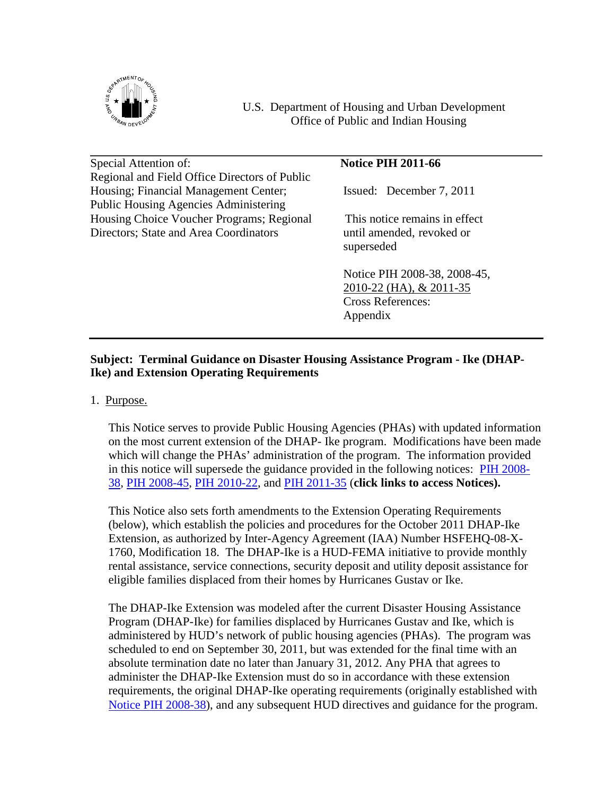

U.S. Department of Housing and Urban Development Office of Public and Indian Housing

Special Attention of: **Notice PIH 2011-66** Regional and Field Office Directors of Public Housing; Financial Management Center; Issued: December 7, 2011 Public Housing Agencies Administering Housing Choice Voucher Programs; Regional This notice remains in effect Directors; State and Area Coordinators until amended, revoked or

superseded

Notice PIH 2008-38, 2008-45, 2010-22 (HA), & 2011-35 Cross References: Appendix

# **Subject: Terminal Guidance on Disaster Housing Assistance Program - Ike (DHAP-Ike) and Extension Operating Requirements**

1. Purpose.

This Notice serves to provide Public Housing Agencies (PHAs) with updated information on the most current extension of the DHAP- Ike program. Modifications have been made which will change the PHAs' administration of the program. The information provided in this notice will supersede the guidance provided in the following notices: [PIH 2008-](http://www.hud.gov/offices/pih/publications/notices/08/pih2008-38.pdf) [38](http://www.hud.gov/offices/pih/publications/notices/08/pih2008-38.pdf), [PIH 2008-45](http://www.hud.gov/offices/pih/publications/notices/08/pih2008-45.pdf), [PIH 2010-22,](http://www.hud.gov/offices/pih/publications/notices/10/pih2010-22.pdf) and [PIH 2011-35](http://portal.hud.gov/hudportal/documents/huddoc?id=pih2011-35.pdf) (**click links to access Notices).**

This Notice also sets forth amendments to the Extension Operating Requirements (below), which establish the policies and procedures for the October 2011 DHAP-Ike Extension, as authorized by Inter-Agency Agreement (IAA) Number HSFEHQ-08-X-1760, Modification 18. The DHAP-Ike is a HUD-FEMA initiative to provide monthly rental assistance, service connections, security deposit and utility deposit assistance for eligible families displaced from their homes by Hurricanes Gustav or Ike.

The DHAP-Ike Extension was modeled after the current Disaster Housing Assistance Program (DHAP-Ike) for families displaced by Hurricanes Gustav and Ike, which is administered by HUD's network of public housing agencies (PHAs). The program was scheduled to end on September 30, 2011, but was extended for the final time with an absolute termination date no later than January 31, 2012. Any PHA that agrees to administer the DHAP-Ike Extension must do so in accordance with these extension requirements, the original DHAP-Ike operating requirements (originally established with [Notice PIH 2008-38](http://www.hud.gov/offices/pih/publications/notices/08/pih2008-38.pdf)), and any subsequent HUD directives and guidance for the program.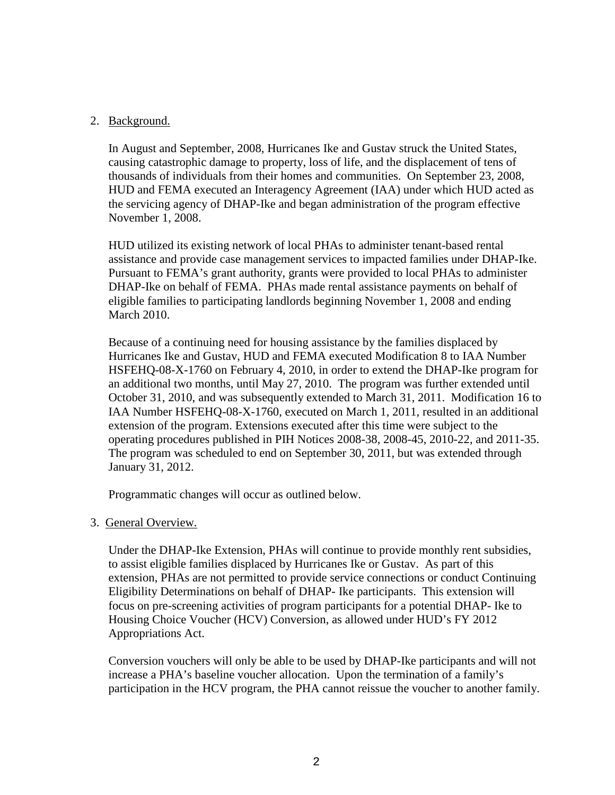# 2. Background.

In August and September, 2008, Hurricanes Ike and Gustav struck the United States, causing catastrophic damage to property, loss of life, and the displacement of tens of thousands of individuals from their homes and communities. On September 23, 2008, HUD and FEMA executed an Interagency Agreement (IAA) under which HUD acted as the servicing agency of DHAP-Ike and began administration of the program effective November 1, 2008.

HUD utilized its existing network of local PHAs to administer tenant-based rental assistance and provide case management services to impacted families under DHAP-Ike. Pursuant to FEMA's grant authority, grants were provided to local PHAs to administer DHAP-Ike on behalf of FEMA. PHAs made rental assistance payments on behalf of eligible families to participating landlords beginning November 1, 2008 and ending March 2010.

Because of a continuing need for housing assistance by the families displaced by Hurricanes Ike and Gustav, HUD and FEMA executed Modification 8 to IAA Number HSFEHQ-08-X-1760 on February 4, 2010, in order to extend the DHAP-Ike program for an additional two months, until May 27, 2010. The program was further extended until October 31, 2010, and was subsequently extended to March 31, 2011. Modification 16 to IAA Number HSFEHQ-08-X-1760, executed on March 1, 2011, resulted in an additional extension of the program. Extensions executed after this time were subject to the operating procedures published in PIH Notices 2008-38, 2008-45, 2010-22, and 2011-35. The program was scheduled to end on September 30, 2011, but was extended through January 31, 2012.

Programmatic changes will occur as outlined below.

3. General Overview.

Under the DHAP-Ike Extension, PHAs will continue to provide monthly rent subsidies, to assist eligible families displaced by Hurricanes Ike or Gustav. As part of this extension, PHAs are not permitted to provide service connections or conduct Continuing Eligibility Determinations on behalf of DHAP- Ike participants. This extension will focus on pre-screening activities of program participants for a potential DHAP- Ike to Housing Choice Voucher (HCV) Conversion, as allowed under HUD's FY 2012 Appropriations Act.

Conversion vouchers will only be able to be used by DHAP-Ike participants and will not increase a PHA's baseline voucher allocation. Upon the termination of a family's participation in the HCV program, the PHA cannot reissue the voucher to another family.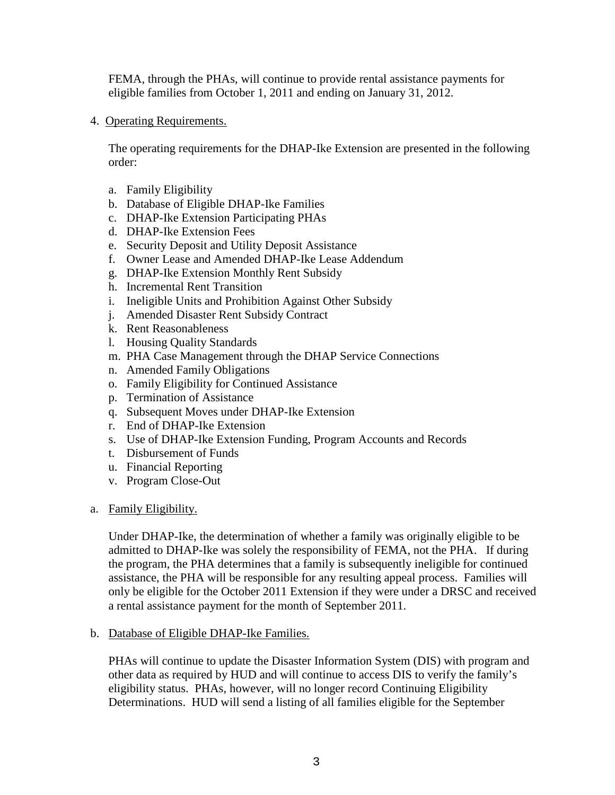FEMA, through the PHAs, will continue to provide rental assistance payments for eligible families from October 1, 2011 and ending on January 31, 2012.

4. Operating Requirements.

The operating requirements for the DHAP-Ike Extension are presented in the following order:

- a. Family Eligibility
- b. Database of Eligible DHAP-Ike Families
- c. DHAP-Ike Extension Participating PHAs
- d. DHAP-Ike Extension Fees
- e. Security Deposit and Utility Deposit Assistance
- f. Owner Lease and Amended DHAP-Ike Lease Addendum
- g. DHAP-Ike Extension Monthly Rent Subsidy
- h. Incremental Rent Transition
- i. Ineligible Units and Prohibition Against Other Subsidy
- j. Amended Disaster Rent Subsidy Contract
- k. Rent Reasonableness
- l. Housing Quality Standards
- m. PHA Case Management through the DHAP Service Connections
- n. Amended Family Obligations
- o. Family Eligibility for Continued Assistance
- p. Termination of Assistance
- q. Subsequent Moves under DHAP-Ike Extension
- r. End of DHAP-Ike Extension
- s. Use of DHAP-Ike Extension Funding, Program Accounts and Records
- t. Disbursement of Funds
- u. Financial Reporting
- v. Program Close-Out
- a. Family Eligibility.

Under DHAP-Ike, the determination of whether a family was originally eligible to be admitted to DHAP-Ike was solely the responsibility of FEMA, not the PHA. If during the program, the PHA determines that a family is subsequently ineligible for continued assistance, the PHA will be responsible for any resulting appeal process. Families will only be eligible for the October 2011 Extension if they were under a DRSC and received a rental assistance payment for the month of September 2011.

b. Database of Eligible DHAP-Ike Families.

PHAs will continue to update the Disaster Information System (DIS) with program and other data as required by HUD and will continue to access DIS to verify the family's eligibility status. PHAs, however, will no longer record Continuing Eligibility Determinations. HUD will send a listing of all families eligible for the September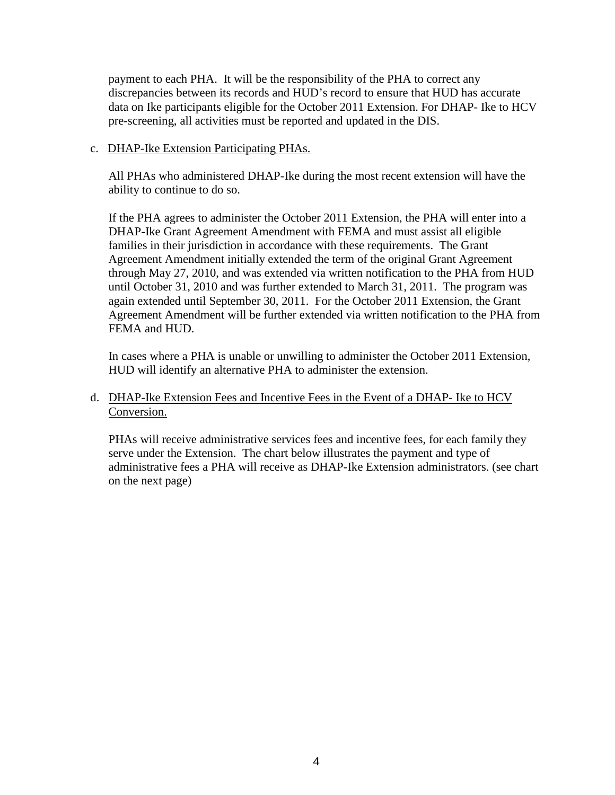payment to each PHA. It will be the responsibility of the PHA to correct any discrepancies between its records and HUD's record to ensure that HUD has accurate data on Ike participants eligible for the October 2011 Extension. For DHAP- Ike to HCV pre-screening, all activities must be reported and updated in the DIS.

# c. DHAP-Ike Extension Participating PHAs.

All PHAs who administered DHAP-Ike during the most recent extension will have the ability to continue to do so.

If the PHA agrees to administer the October 2011 Extension, the PHA will enter into a DHAP-Ike Grant Agreement Amendment with FEMA and must assist all eligible families in their jurisdiction in accordance with these requirements. The Grant Agreement Amendment initially extended the term of the original Grant Agreement through May 27, 2010, and was extended via written notification to the PHA from HUD until October 31, 2010 and was further extended to March 31, 2011. The program was again extended until September 30, 2011. For the October 2011 Extension, the Grant Agreement Amendment will be further extended via written notification to the PHA from FEMA and HUD.

In cases where a PHA is unable or unwilling to administer the October 2011 Extension, HUD will identify an alternative PHA to administer the extension.

d. DHAP-Ike Extension Fees and Incentive Fees in the Event of a DHAP- Ike to HCV Conversion.

PHAs will receive administrative services fees and incentive fees, for each family they serve under the Extension. The chart below illustrates the payment and type of administrative fees a PHA will receive as DHAP-Ike Extension administrators. (see chart on the next page)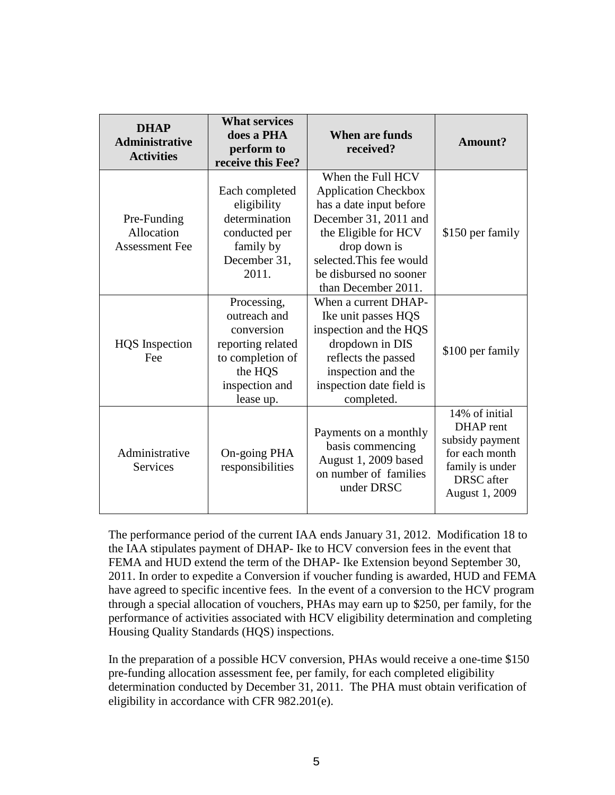| <b>DHAP</b><br><b>Administrative</b><br><b>Activities</b> | <b>What services</b><br>does a PHA<br>perform to<br>receive this Fee?                                                        | <b>When are funds</b><br>received?                                                                                                                                                                                        | Amount?                                                                                                                    |
|-----------------------------------------------------------|------------------------------------------------------------------------------------------------------------------------------|---------------------------------------------------------------------------------------------------------------------------------------------------------------------------------------------------------------------------|----------------------------------------------------------------------------------------------------------------------------|
| Pre-Funding<br>Allocation<br><b>Assessment Fee</b>        | Each completed<br>eligibility<br>determination<br>conducted per<br>family by<br>December 31,<br>2011.                        | When the Full HCV<br><b>Application Checkbox</b><br>has a date input before<br>December 31, 2011 and<br>the Eligible for HCV<br>drop down is<br>selected. This fee would<br>be disbursed no sooner<br>than December 2011. | \$150 per family                                                                                                           |
| <b>HQS</b> Inspection<br>Fee                              | Processing,<br>outreach and<br>conversion<br>reporting related<br>to completion of<br>the HQS<br>inspection and<br>lease up. | When a current DHAP-<br>Ike unit passes HQS<br>inspection and the HQS<br>dropdown in DIS<br>reflects the passed<br>inspection and the<br>inspection date field is<br>completed.                                           | \$100 per family                                                                                                           |
| Administrative<br><b>Services</b>                         | On-going PHA<br>responsibilities                                                                                             | Payments on a monthly<br>basis commencing<br>August 1, 2009 based<br>on number of families<br>under DRSC                                                                                                                  | 14% of initial<br>DHAP rent<br>subsidy payment<br>for each month<br>family is under<br><b>DRSC</b> after<br>August 1, 2009 |

The performance period of the current IAA ends January 31, 2012. Modification 18 to the IAA stipulates payment of DHAP- Ike to HCV conversion fees in the event that FEMA and HUD extend the term of the DHAP- Ike Extension beyond September 30, 2011. In order to expedite a Conversion if voucher funding is awarded, HUD and FEMA have agreed to specific incentive fees. In the event of a conversion to the HCV program through a special allocation of vouchers, PHAs may earn up to \$250, per family, for the performance of activities associated with HCV eligibility determination and completing Housing Quality Standards (HQS) inspections.

In the preparation of a possible HCV conversion, PHAs would receive a one-time \$150 pre-funding allocation assessment fee, per family, for each completed eligibility determination conducted by December 31, 2011. The PHA must obtain verification of eligibility in accordance with CFR 982.201(e).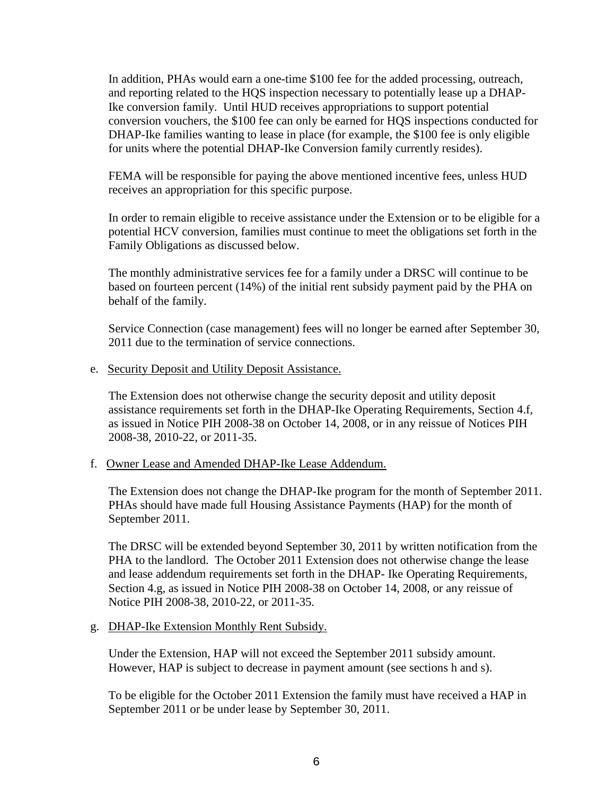In addition, PHAs would earn a one-time \$100 fee for the added processing, outreach, and reporting related to the HQS inspection necessary to potentially lease up a DHAP-Ike conversion family. Until HUD receives appropriations to support potential conversion vouchers, the \$100 fee can only be earned for HQS inspections conducted for DHAP-Ike families wanting to lease in place (for example, the \$100 fee is only eligible for units where the potential DHAP-Ike Conversion family currently resides).

FEMA will be responsible for paying the above mentioned incentive fees, unless HUD receives an appropriation for this specific purpose.

In order to remain eligible to receive assistance under the Extension or to be eligible for a potential HCV conversion, families must continue to meet the obligations set forth in the Family Obligations as discussed below.

The monthly administrative services fee for a family under a DRSC will continue to be based on fourteen percent (14%) of the initial rent subsidy payment paid by the PHA on behalf of the family.

Service Connection (case management) fees will no longer be earned after September 30, 2011 due to the termination of service connections.

e. Security Deposit and Utility Deposit Assistance.

The Extension does not otherwise change the security deposit and utility deposit assistance requirements set forth in the DHAP-Ike Operating Requirements, Section 4.f, as issued in Notice PIH 2008-38 on October 14, 2008, or in any reissue of Notices PIH 2008-38, 2010-22, or 2011-35.

f. Owner Lease and Amended DHAP-Ike Lease Addendum.

The Extension does not change the DHAP-Ike program for the month of September 2011. PHAs should have made full Housing Assistance Payments (HAP) for the month of September 2011.

The DRSC will be extended beyond September 30, 2011 by written notification from the PHA to the landlord. The October 2011 Extension does not otherwise change the lease and lease addendum requirements set forth in the DHAP- Ike Operating Requirements, Section 4.g, as issued in Notice PIH 2008-38 on October 14, 2008, or any reissue of Notice PIH 2008-38, 2010-22, or 2011-35.

g. DHAP-Ike Extension Monthly Rent Subsidy.

Under the Extension, HAP will not exceed the September 2011 subsidy amount. However, HAP is subject to decrease in payment amount (see sections h and s).

To be eligible for the October 2011 Extension the family must have received a HAP in September 2011 or be under lease by September 30, 2011.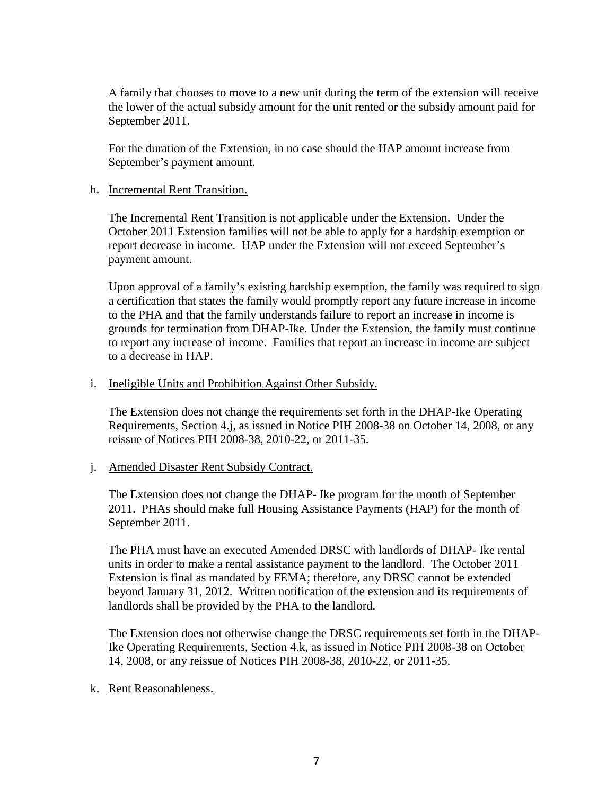A family that chooses to move to a new unit during the term of the extension will receive the lower of the actual subsidy amount for the unit rented or the subsidy amount paid for September 2011.

For the duration of the Extension, in no case should the HAP amount increase from September's payment amount.

## h. Incremental Rent Transition.

The Incremental Rent Transition is not applicable under the Extension. Under the October 2011 Extension families will not be able to apply for a hardship exemption or report decrease in income. HAP under the Extension will not exceed September's payment amount.

Upon approval of a family's existing hardship exemption, the family was required to sign a certification that states the family would promptly report any future increase in income to the PHA and that the family understands failure to report an increase in income is grounds for termination from DHAP-Ike. Under the Extension, the family must continue to report any increase of income. Families that report an increase in income are subject to a decrease in HAP.

#### i. Ineligible Units and Prohibition Against Other Subsidy.

The Extension does not change the requirements set forth in the DHAP-Ike Operating Requirements, Section 4.j, as issued in Notice PIH 2008-38 on October 14, 2008, or any reissue of Notices PIH 2008-38, 2010-22, or 2011-35.

## j. Amended Disaster Rent Subsidy Contract.

The Extension does not change the DHAP- Ike program for the month of September 2011. PHAs should make full Housing Assistance Payments (HAP) for the month of September 2011.

The PHA must have an executed Amended DRSC with landlords of DHAP- Ike rental units in order to make a rental assistance payment to the landlord. The October 2011 Extension is final as mandated by FEMA; therefore, any DRSC cannot be extended beyond January 31, 2012. Written notification of the extension and its requirements of landlords shall be provided by the PHA to the landlord.

The Extension does not otherwise change the DRSC requirements set forth in the DHAP-Ike Operating Requirements, Section 4.k, as issued in Notice PIH 2008-38 on October 14, 2008, or any reissue of Notices PIH 2008-38, 2010-22, or 2011-35.

## k. Rent Reasonableness.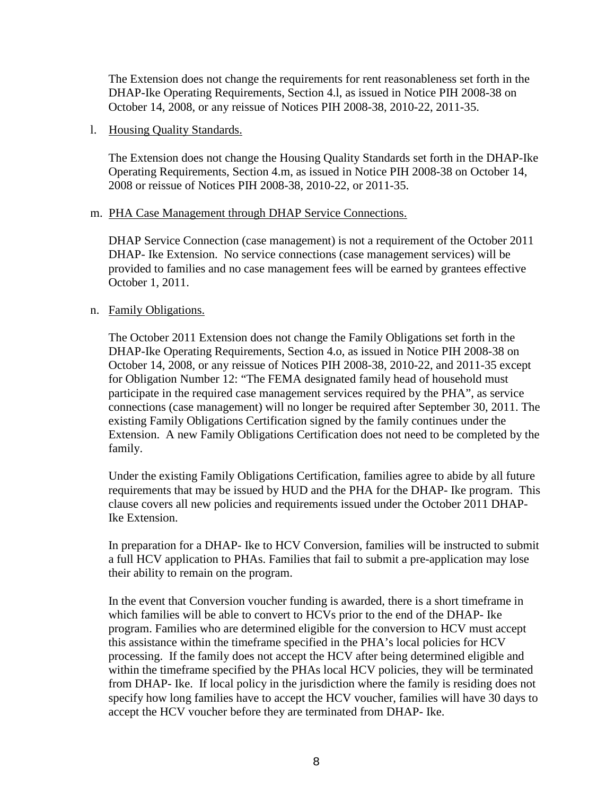The Extension does not change the requirements for rent reasonableness set forth in the DHAP-Ike Operating Requirements, Section 4.l, as issued in Notice PIH 2008-38 on October 14, 2008, or any reissue of Notices PIH 2008-38, 2010-22, 2011-35.

## l. Housing Quality Standards.

The Extension does not change the Housing Quality Standards set forth in the DHAP-Ike Operating Requirements, Section 4.m, as issued in Notice PIH 2008-38 on October 14, 2008 or reissue of Notices PIH 2008-38, 2010-22, or 2011-35.

## m. PHA Case Management through DHAP Service Connections.

DHAP Service Connection (case management) is not a requirement of the October 2011 DHAP- Ike Extension. No service connections (case management services) will be provided to families and no case management fees will be earned by grantees effective October 1, 2011.

## n. Family Obligations.

The October 2011 Extension does not change the Family Obligations set forth in the DHAP-Ike Operating Requirements, Section 4.o, as issued in Notice PIH 2008-38 on October 14, 2008, or any reissue of Notices PIH 2008-38, 2010-22, and 2011-35 except for Obligation Number 12: "The FEMA designated family head of household must participate in the required case management services required by the PHA", as service connections (case management) will no longer be required after September 30, 2011. The existing Family Obligations Certification signed by the family continues under the Extension. A new Family Obligations Certification does not need to be completed by the family.

Under the existing Family Obligations Certification, families agree to abide by all future requirements that may be issued by HUD and the PHA for the DHAP- Ike program. This clause covers all new policies and requirements issued under the October 2011 DHAP-Ike Extension.

In preparation for a DHAP- Ike to HCV Conversion, families will be instructed to submit a full HCV application to PHAs. Families that fail to submit a pre-application may lose their ability to remain on the program.

In the event that Conversion voucher funding is awarded, there is a short timeframe in which families will be able to convert to HCVs prior to the end of the DHAP- Ike program. Families who are determined eligible for the conversion to HCV must accept this assistance within the timeframe specified in the PHA's local policies for HCV processing. If the family does not accept the HCV after being determined eligible and within the timeframe specified by the PHAs local HCV policies, they will be terminated from DHAP- Ike. If local policy in the jurisdiction where the family is residing does not specify how long families have to accept the HCV voucher, families will have 30 days to accept the HCV voucher before they are terminated from DHAP- Ike.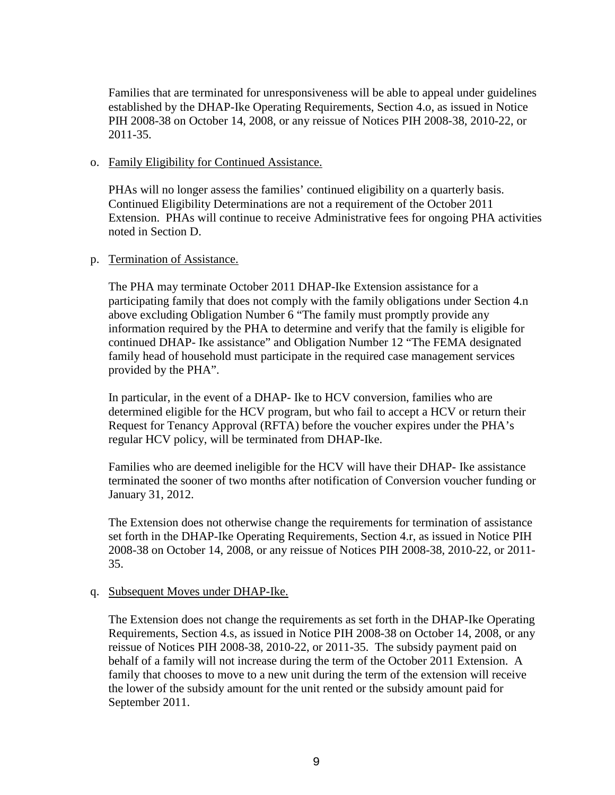Families that are terminated for unresponsiveness will be able to appeal under guidelines established by the DHAP-Ike Operating Requirements, Section 4.o, as issued in Notice PIH 2008-38 on October 14, 2008, or any reissue of Notices PIH 2008-38, 2010-22, or 2011-35.

#### o. Family Eligibility for Continued Assistance.

PHAs will no longer assess the families' continued eligibility on a quarterly basis. Continued Eligibility Determinations are not a requirement of the October 2011 Extension. PHAs will continue to receive Administrative fees for ongoing PHA activities noted in Section D.

#### p. Termination of Assistance.

The PHA may terminate October 2011 DHAP-Ike Extension assistance for a participating family that does not comply with the family obligations under Section 4.n above excluding Obligation Number 6 "The family must promptly provide any information required by the PHA to determine and verify that the family is eligible for continued DHAP- Ike assistance" and Obligation Number 12 "The FEMA designated family head of household must participate in the required case management services provided by the PHA".

In particular, in the event of a DHAP- Ike to HCV conversion, families who are determined eligible for the HCV program, but who fail to accept a HCV or return their Request for Tenancy Approval (RFTA) before the voucher expires under the PHA's regular HCV policy, will be terminated from DHAP-Ike.

Families who are deemed ineligible for the HCV will have their DHAP- Ike assistance terminated the sooner of two months after notification of Conversion voucher funding or January 31, 2012.

The Extension does not otherwise change the requirements for termination of assistance set forth in the DHAP-Ike Operating Requirements, Section 4.r, as issued in Notice PIH 2008-38 on October 14, 2008, or any reissue of Notices PIH 2008-38, 2010-22, or 2011- 35.

## q. Subsequent Moves under DHAP-Ike.

The Extension does not change the requirements as set forth in the DHAP-Ike Operating Requirements, Section 4.s, as issued in Notice PIH 2008-38 on October 14, 2008, or any reissue of Notices PIH 2008-38, 2010-22, or 2011-35. The subsidy payment paid on behalf of a family will not increase during the term of the October 2011 Extension. A family that chooses to move to a new unit during the term of the extension will receive the lower of the subsidy amount for the unit rented or the subsidy amount paid for September 2011.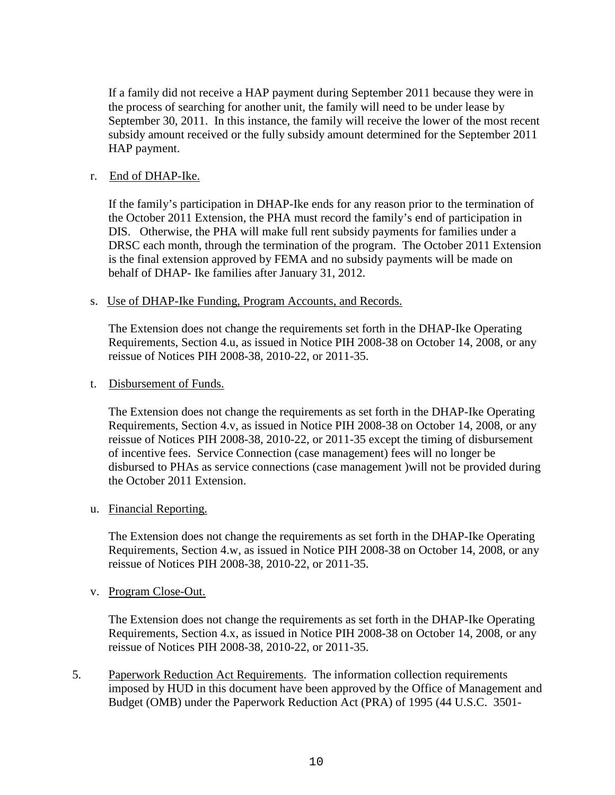If a family did not receive a HAP payment during September 2011 because they were in the process of searching for another unit, the family will need to be under lease by September 30, 2011. In this instance, the family will receive the lower of the most recent subsidy amount received or the fully subsidy amount determined for the September 2011 HAP payment.

# r. End of DHAP-Ike.

If the family's participation in DHAP-Ike ends for any reason prior to the termination of the October 2011 Extension, the PHA must record the family's end of participation in DIS. Otherwise, the PHA will make full rent subsidy payments for families under a DRSC each month, through the termination of the program. The October 2011 Extension is the final extension approved by FEMA and no subsidy payments will be made on behalf of DHAP- Ike families after January 31, 2012.

## s. Use of DHAP-Ike Funding, Program Accounts, and Records.

The Extension does not change the requirements set forth in the DHAP-Ike Operating Requirements, Section 4.u, as issued in Notice PIH 2008-38 on October 14, 2008, or any reissue of Notices PIH 2008-38, 2010-22, or 2011-35.

#### t. Disbursement of Funds.

The Extension does not change the requirements as set forth in the DHAP-Ike Operating Requirements, Section 4.v, as issued in Notice PIH 2008-38 on October 14, 2008, or any reissue of Notices PIH 2008-38, 2010-22, or 2011-35 except the timing of disbursement of incentive fees. Service Connection (case management) fees will no longer be disbursed to PHAs as service connections (case management )will not be provided during the October 2011 Extension.

## u. Financial Reporting.

The Extension does not change the requirements as set forth in the DHAP-Ike Operating Requirements, Section 4.w, as issued in Notice PIH 2008-38 on October 14, 2008, or any reissue of Notices PIH 2008-38, 2010-22, or 2011-35.

## v. Program Close-Out.

The Extension does not change the requirements as set forth in the DHAP-Ike Operating Requirements, Section 4.x, as issued in Notice PIH 2008-38 on October 14, 2008, or any reissue of Notices PIH 2008-38, 2010-22, or 2011-35.

5. Paperwork Reduction Act Requirements. The information collection requirements imposed by HUD in this document have been approved by the Office of Management and Budget (OMB) under the Paperwork Reduction Act (PRA) of 1995 (44 U.S.C. 3501